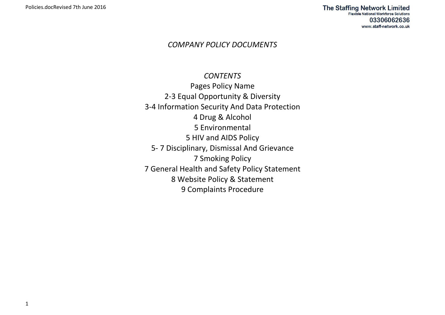## *COMPANY POLICY DOCUMENTS*

# *CONTENTS*

Pages Policy Name 2-3 Equal Opportunity & Diversity 3-4 Information Security And Data Protection 4 Drug & Alcohol 5 Environmental 5 HIV and AIDS Policy 5- 7 Disciplinary, Dismissal And Grievance 7 Smoking Policy 7 General Health and Safety Policy Statement 8 Website Policy & Statement 9 Complaints Procedure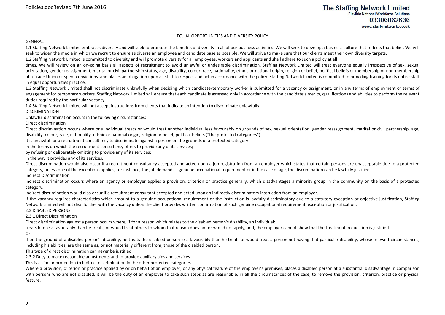#### EQUAL OPPORTUNITIES AND DIVERSITY POLICY

#### GENERAL

1.1 Staffing Network Limited embraces diversity and will seek to promote the benefits of diversity in all of our business activities. We will seek to develop a business culture that reflects that belief. We will seek to widen the media in which we recruit to ensure as diverse an employee and candidate base as possible. We will strive to make sure that our clients meet their own diversity targets.

1.2 Staffing Network Limited is committed to diversity and will promote diversity for all employees, workers and applicants and shall adhere to such a policy at all

times. We will review on an on-going basis all aspects of recruitment to avoid unlawful or undesirable discrimination. Staffing Network Limited will treat everyone equally irrespective of sex, sexual orientation, gender reassignment, marital or civil partnership status, age, disability, colour, race, nationality, ethnic or national origin, religion or belief, political beliefs or membership or non-membership of a Trade Union or spent convictions, and places an obligation upon all staff to respect and act in accordance with the policy. Staffing Network Limited is committed to providing training for its entire staff in equal opportunities practice.

1.3 Staffing Network Limited shall not discriminate unlawfully when deciding which candidate/temporary worker is submitted for a vacancy or assignment, or in any terms of employment or terms of engagement for temporary workers. Staffing Network Limited will ensure that each candidate is assessed only in accordance with the candidate's merits, qualifications and abilities to perform the relevant duties required by the particular vacancy.

1.4 Staffing Network Limited will not accept instructions from clients that indicate an intention to discriminate unlawfully.

#### DISCRIMINATION

Unlawful discrimination occurs in the following circumstances:

Direct discrimination

Direct discrimination occurs where one individual treats or would treat another individual less favourably on grounds of sex, sexual orientation, gender reassignment, marital or civil partnership, age, disability, colour, race, nationality, ethnic or national origin, religion or belief, political beliefs ("the protected categories").

It is unlawful for a recruitment consultancy to discriminate against a person on the grounds of a protected category: -

in the terms on which the recruitment consultancy offers to provide any of its services;

by refusing or deliberately omitting to provide any of its services;

in the way it provides any of its services.

Direct discrimination would also occur if a recruitment consultancy accepted and acted upon a job registration from an employer which states that certain persons are unacceptable due to a protected category, unless one of the exceptions applies, for instance, the job demands a genuine occupational requirement or in the case of age, the discrimination can be lawfully justified. Indirect Discrimination

Indirect discrimination occurs where an agency or employer applies a provision, criterion or practice generally, which disadvantages a minority group in the community on the basis of a protected category.

Indirect discrimination would also occur if a recruitment consultant accepted and acted upon an indirectly discriminatory instruction from an employer.

If the vacancy requires characteristics which amount to a genuine occupational requirement or the instruction is lawfully discriminatory due to a statutory exception or objective justification, Staffing Network Limited will not deal further with the vacancy unless the client provides written confirmation of such genuine occupational requirement, exception or justification.

2.3 DISABLED PERSONS

2.3.1 Direct Discrimination

Direct discrimination against a person occurs where, if for a reason which relates to the disabled person's disability, an individual:

treats him less favourably than he treats, or would treat others to whom that reason does not or would not apply, and, the employer cannot show that the treatment in question is justified.

Or

If on the ground of a disabled person's disability, he treats the disabled person less favourably than he treats or would treat a person not having that particular disability, whose relevant circumstances, including his abilities, are the same as, or not materially different from, those of the disabled person.

This type of direct discrimination can never be justified.

2.3.2 Duty to make reasonable adjustments and to provide auxiliary aids and services

This is a similar protection to indirect discrimination in the other protected categories.

Where a provision, criterion or practice applied by or on behalf of an employer, or any physical feature of the employer's premises, places a disabled person at a substantial disadvantage in comparison with persons who are not disabled, it will be the duty of an employer to take such steps as are reasonable, in all the circumstances of the case, to remove the provision, criterion, practice or physical feature.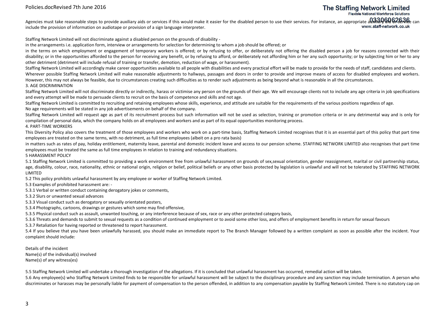## **The Staffing Network Limited**

**Flexible National Workforce Solutions** 

Agencies must take reasonable steps to provide auxiliary aids or services if this would make it easier for the disabled person to use their services. For instance, an appropriate auxilially ସାଏ ମଣ୍ଡାହାଡେ କେହା କାର ମେଳ କେହା www.staff-network.co.uk include the provision of information on audiotape or provision of a sign language interpreter.

Staffing Network Limited will not discriminate against a disabled person on the grounds of disability -

in the arrangements i.e. application form, interview or arrangements for selection for determining to whom a job should be offered; or

in the terms on which employment or engagement of temporary workers is offered; or by refusing to offer, or deliberately not offering the disabled person a job for reasons connected with their disability; or in the opportunities afforded to the person for receiving any benefit, or by refusing to afford, or deliberately not affording him or her any such opportunity; or by subjecting him or her to any other detriment (detriment will include refusal of training or transfer, demotion, reduction of wage, or harassment).

Staffing Network Limited will accordingly make career opportunities available to all people with disabilities and every practical effort will be made to provide for the needs of staff, candidates and clients. Wherever possible Staffing Network Limited will make reasonable adjustments to hallways, passages and doors in order to provide and improve means of access for disabled employees and workers. However, this may not always be feasible, due to circumstances creating such difficulties as to render such adjustments as being beyond what is reasonable in all the circumstances. 3. AGE DISCRIMINATION

Staffing Network Limited will not discriminate directly or indirectly, harass or victimise any person on the grounds of their age. We will encourage clients not to include any age criteria in job specifications and every attempt will be made to persuade clients to recruit on the basis of competence and skills and not age.

Staffing Network Limited is committed to recruiting and retaining employees whose skills, experience, and attitude are suitable for the requirements of the various positions regardless of age. No age requirements will be stated in any job advertisements on behalf of the company.

Staffing Network Limited will request age as part of its recruitment process but such information will not be used as selection, training or promotion criteria or in any detrimental way and is only for compilation of personal data, which the company holds on all employees and workers and as part of its equal opportunities monitoring process.

4. PART-TIME WORKERS

This Diversity Policy also covers the treatment of those employees and workers who work on a part-time basis, Staffing Network Limited recognises that it is an essential part of this policy that part time employees are treated on the same terms, with no detriment, as full time employees (albeit on a pro rata basis)

in matters such as rates of pay, holiday entitlement, maternity leave, parental and domestic incident leave and access to our pension scheme. STAFFING NETWORK LIMITED also recognises that part time employees must be treated the same as full time employees in relation to training and redundancy situations.

5 HARASSMENT POLICY

5.1 Staffing Network Limited is committed to providing a work environment free from unlawful harassment on grounds of sex,sexual orientation, gender reassignment, marital or civil partnership status, age, disability, colour, race, nationality, ethnic or national origin, religion or belief, political beliefs or any other basis protected by legislation is unlawful and will not be tolerated by STAFFING NETWORK LIMITED

5.2 This policy prohibits unlawful harassment by any employee or worker of Staffing Network Limited.

5.3 Examples of prohibited harassment are: -

5.3.1 Verbal or written conduct containing derogatory jokes or comments,

5.3.2 Slurs or unwanted sexual advances

5.3.3 Visual conduct such as derogatory or sexually orientated posters,

5.3.4 Photographs, cartoons, drawings or gestures which some may find offensive,

5.3.5 Physical conduct such as assault, unwanted touching, or any interference because of sex, race or any other protected category basis,

5.3.6 Threats and demands to submit to sexual requests as a condition of continued employment or to avoid some other loss, and offers of employment benefits in return for sexual favours

5.3.7 Retaliation for having reported or threatened to report harassment.

5.4 If you believe that you have been unlawfully harassed, you should make an immediate report to The Branch Manager followed by a written complaint as soon as possible after the incident. Your complaint should include:

Details of the incident Name(s) of the individual(s) involved Name(s) of any witness(es)

5.5 Staffing Network Limited will undertake a thorough investigation of the allegations. If it is concluded that unlawful harassment has occurred, remedial action will be taken.

5.6 Any employee(s) who Staffing Network Limited finds to be responsible for unlawful harassment will be subject to the disciplinary procedure and any sanction may include termination. A person who discriminates or harasses may be personally liable for payment of compensation to the person offended, in addition to any compensation payable by Staffing Network Limited. There is no statutory cap on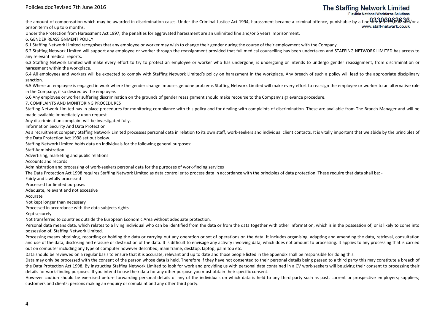**The Staffing Network Limited** 

**Flexible National Workforce Solutions** 

the amount of compensation which may be awarded in discrimination cases. Under the Criminal Justice Act 1994, harassment became a criminal offence, punishable by a fine**৬ዖ⊕৬৮ව£9,000 and/**or a prison term of up to 6 months.

Under the Protection from Harassment Act 1997, the penalties for aggravated harassment are an unlimited fine and/or 5 years imprisonment.

6. GENDER REASSIGNMENT POLICY

6.1 Staffing Network Limited recognises that any employee or worker may wish to change their gender during the course of their employment with the Company.

6.2 Staffing Network Limited will support any employee or worker through the reassignment provided that full medical counselling has been undertaken and STAFFING NETWORK LIMITED has access to any relevant medical reports.

6.3 Staffing Network Limited will make every effort to try to protect an employee or worker who has undergone, is undergoing or intends to undergo gender reassignment, from discrimination or harassment within the workplace.

6.4 All employees and workers will be expected to comply with Staffing Network Limited's policy on harassment in the workplace. Any breach of such a policy will lead to the appropriate disciplinary sanction.

6.5 Where an employee is engaged in work where the gender change imposes genuine problems Staffing Network Limited will make every effort to reassign the employee or worker to an alternative role in the Company, if so desired by the employee.

6.6 Any employee or worker suffering discrimination on the grounds of gender reassignment should make recourse to the Company's grievance procedure.

7. COMPLAINTS AND MONITORING PROCEDURES

Staffing Network Limited has in place procedures for monitoring compliance with this policy and for dealing with complaints of discrimination. These are available from The Branch Manager and will be made available immediately upon request

Any discrimination complaint will be investigated fully.

Information Security And Data Protection

As a recruitment company Staffing Network Limited processes personal data in relation to its own staff, work-seekers and individual client contacts. It is vitally important that we abide by the principles of the Data Protection Act 1998 set out below.

Staffing Network Limited holds data on individuals for the following general purposes:

Staff Administration

Advertising, marketing and public relations

Accounts and records

Administration and processing of work-seekers personal data for the purposes of work-finding services

The Data Protection Act 1998 requires Staffing Network Limited as data controller to process data in accordance with the principles of data protection. These require that data shall be: -

Fairly and lawfully processed

Processed for limited purposes

Adequate, relevant and not excessive

Accurate

Not kept longer than necessary

Processed in accordance with the data subjects rights

Kept securely

Not transferred to countries outside the European Economic Area without adequate protection.

Personal data means data, which relates to a living individual who can be identified from the data or from the data together with other information, which is in the possession of, or is likely to come into possession of, Staffing Network Limited.

Processing means obtaining, recording or holding the data or carrying out any operation or set of operations on the data. It includes organising, adapting and amending the data, retrieval, consultation and use of the data, disclosing and erasure or destruction of the data. It is difficult to envisage any activity involving data, which does not amount to processing. It applies to any processing that is carried out on computer including any type of computer however described, main frame, desktop, laptop, palm top etc.

Data should be reviewed on a regular basis to ensure that it is accurate, relevant and up to date and those people listed in the appendix shall be responsible for doing this.

Data may only be processed with the consent of the person whose data is held. Therefore if they have not consented to their personal details being passed to a third party this may constitute a breach of the Data Protection Act 1998. By instructing Staffing Network Limited to look for work and providing us with personal data contained in a CV work-seekers will be giving their consent to processing their details for work-finding purposes. If you intend to use their data for any other purpose you must obtain their specific consent.

However caution should be exercised before forwarding personal details of any of the individuals on which data is held to any third party such as past, current or prospective employers; suppliers; customers and clients; persons making an enquiry or complaint and any other third party.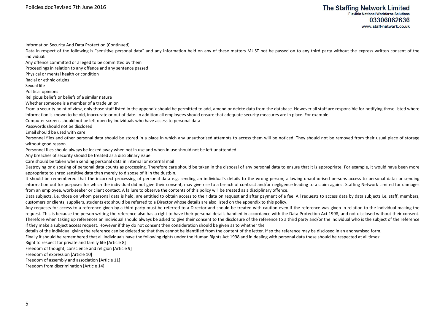Policies.docRevised 7th June 2016

Information Security And Data Protection (Continued)

Data in respect of the following is "sensitive personal data" and any information held on any of these matters MUST not be passed on to any third party without the express written consent of the individual:

Any offence committed or alleged to be committed by them

Proceedings in relation to any offence and any sentence passed

Physical or mental health or condition

Racial or ethnic origins

Sexual life

Political opinions

Religious beliefs or beliefs of a similar nature

Whether someone is a member of a trade union

From a security point of view, only those staff listed in the appendix should be permitted to add, amend or delete data from the database. However all staff are responsible for notifying those listed where information is known to be old, inaccurate or out of date. In addition all employees should ensure that adequate security measures are in place. For example:

Computer screens should not be left open by individuals who have access to personal data

Passwords should not be disclosed

Email should be used with care

Personnel files and other personal data should be stored in a place in which any unauthorised attempts to access them will be noticed. They should not be removed from their usual place of storage without good reason.

Personnel files should always be locked away when not in use and when in use should not be left unattended

Any breaches of security should be treated as a disciplinary issue.

Care should be taken when sending personal data in internal or external mail

Destroying or disposing of personal data counts as processing. Therefore care should be taken in the disposal of any personal data to ensure that it is appropriate. For example, it would have been more appropriate to shred sensitive data than merely to dispose of it in the dustbin.

It should be remembered that the incorrect processing of personal data e.g. sending an individual's details to the wrong person; allowing unauthorised persons access to personal data; or sending information out for purposes for which the individual did not give their consent, may give rise to a breach of contract and/or negligence leading to a claim against Staffing Network Limited for damages from an employee, work-seeker or client contact. A failure to observe the contents of this policy will be treated as a disciplinary offence.

Data subjects, i.e. those on whom personal data is held, are entitled to obtain access to their data on request and after payment of a fee. All requests to access data by data subjects i.e. staff, members, customers or clients, suppliers, students etc should be referred to a Director whose details are also listed on the appendix to this policy.

Any requests for access to a reference given by a third party must be referred to a Director and should be treated with caution even if the reference was given in relation to the individual making the request. This is because the person writing the reference also has a right to have their personal details handled in accordance with the Data Protection Act 1998, and not disclosed without their consent. Therefore when taking up references an individual should always be asked to give their consent to the disclosure of the reference to a third party and/or the individual who is the subject of the referenceif they make a subject access request. However if they do not consent then consideration should be given as to whether the

details of the individual giving the reference can be deleted so that they cannot be identified from the content of the letter. If so the reference may be disclosed in an anonymised form.

Finally it should be remembered that all individuals have the following rights under the Human Rights Act 1998 and in dealing with personal data these should be respected at all times:

Right to respect for private and family life [Article 8]

Freedom of thought, conscience and religion [Article 9]

Freedom of expression [Article 10]

Freedom of assembly and association [Article 11]

Freedom from discrimination [Article 14]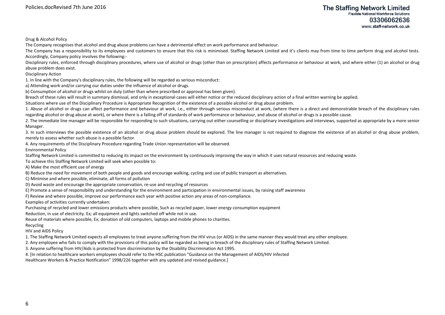Drug & Alcohol Policy

The Company recognises that alcohol and drug abuse problems can have a detrimental effect on work performance and behaviour.

The Company has a responsibility to its employees and customers to ensure that this risk is minimised. Staffing Network Limited and it's clients may from time to time perform drug and alcohol tests. Accordingly, Company policy involves the following:-

Disciplinary rules, enforced through disciplinary procedures, where use of alcohol or drugs (other than on prescription) affects performance or behaviour at work, and where either (1) an alcohol or drug abuse problem does exist.

Disciplinary Action

1. In line with the Company's disciplinary rules, the following will be regarded as serious misconduct:

a) Attending work and/or carrying our duties under the influence of alcohol or drugs.

b) Consumption of alcohol or drugs whilst on duty (other than where prescribed or approval has been given).

Breach of these rules will result in summary dismissal, and only in exceptional cases will either notice or the reduced disciplinary action of a final written warning be applied.

Situations where use of the Disciplinary Procedure is Appropriate Recognition of the existence of a possible alcohol or drug abuse problem.

1. Abuse of alcohol or drugs can affect performance and behaviour at work, i.e., either through serious misconduct at work, (where there is a direct and demonstrable breach of the disciplinary rules regarding alcohol or drug abuse at work), or where there is a falling off of standards of work performance or behaviour, and abuse of alcohol or drugs is a possible cause.

2. The immediate line manager will be responsible for responding to such situations, carrying out either counselling or disciplinary investigations and interviews, supported as appropriate by a more senior Manager.

3. In such interviews the possible existence of an alcohol or drug abuse problem should be explored. The line manager is not required to diagnose the existence of an alcohol or drug abuse problem, merely to assess whether such abuse is a possible factor.

4. Any requirements of the Disciplinary Procedure regarding Trade Union representation will be observed.

Environmental Policy

Staffing Network Limited is committed to reducing its impact on the environment by continuously improving the way in which it uses natural resources and reducing waste.

To achieve this Staffing Network Limited will seek when possible to:

A) Make the most efficient use of energy

B) Reduce the need for movement of both people and goods and encourage walking, cycling and use of public transport as alternatives.

C) Minimise and where possible, eliminate, all forms of pollution

D) Avoid waste and encourage the appropriate conservation, re-use and recycling of resources

E) Promote a sense of responsibility and understanding for the environment and participation in environmental issues, by raising staff awareness

F) Review and where possible, improve our performance each year with positive action any areas of non-compliance.

Examples of activities currently undertaken:

Purchasing of recycled and lower emissions products where possible, Such as recycled paper, lower energy consumption equipment

Reduction, in use of electricity. Ex; all equipment and lights switched off while not in use.

Reuse of materials where possible, Ex; donation of old computers, laptops and mobile phones to charities.

Recycling

HIV and AIDS Policy

1. The Staffing Network Limited expects all employees to treat anyone suffering from the HIV virus (or AIDS) in the same manner they would treat any other employee.

2. Any employee who fails to comply with the provisions of this policy will be regarded as being in breach of the disciplinary rules of Staffing Network Limited.

3. Anyone suffering from HIV/Aids is protected from discrimination by the Disability Discrimination Act 1995.

4. [In relation to healthcare workers employees should refer to the HSC publication "Guidance on the Management of AIDS/HIV Infected

Healthcare Workers & Practice Notification" 1998/226 together with any updated and revised guidance.]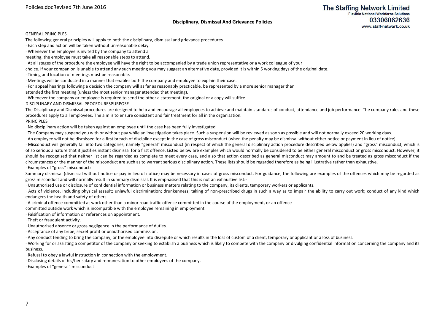## **Disciplinary, Dismissal And Grievance Policies**

#### GENERAL PRINCIPLES

The following general principles will apply to both the disciplinary, dismissal and grievance procedures

· Each step and action will be taken without unreasonable delay.

· Whenever the employee is invited by the company to attend a

meeting, the employee must take all reasonable steps to attend.

· At all stages of the procedure the employee will have the right to be accompanied by a trade union representative or a work colleague of your

choice. If your companion is unable to attend any such meeting you may suggest an alternative date, provided it is within 5 working days of the original date.

· Timing and location of meetings must be reasonable.

· Meetings will be conducted in a manner that enables both the company and employee to explain their case.

· For appeal hearings following a decision the company will as far as reasonably practicable, be represented by a more senior manager than

attended the first meeting (unless the most senior manager attended that meeting).

· Whenever the company or employee is required to send the other a statement, the original or a copy will suffice.

DISCIPLINARY AND DISMISSAL PROCEDURESPURPOSE

The Disciplinary and Dismissal procedures are designed to help and encourage all employees to achieve and maintain standards of conduct, attendance and job performance. The company rules and these procedures apply to all employees. The aim is to ensure consistent and fair treatment for all in the organisation.

#### PRINCIPLES

· No disciplinary action will be taken against an employee until the case has been fully investigated

· The Company may suspend you with or without pay while an investigation takes place. Such a suspension will be reviewed as soon as possible and will not normally exceed 20 working days.

· An employee will not be dismissed for a first breach of discipline except in the case of gross misconduct (when the penalty may be dismissal without either notice or payment in lieu of notice).

· Misconduct will generally fall into two categories, namely "general" misconduct (in respect of which the general disciplinary action procedure described below applies) and "gross" misconduct, which is of so serious a nature that it justifies instant dismissal for a first offence. Listed below are examples which would normally be considered to be either general misconduct or gross misconduct. However, it should be recognised that neither list can be regarded as complete to meet every case, and also that action described as general misconduct may amount to and be treated as gross misconduct if the circumstances or the manner of the misconduct are such as to warrant serious disciplinary action. These lists should be regarded therefore as being illustrative rather than exhaustive. · Examples of "gross" misconduct:

Summary dismissal (dismissal without notice or pay in lieu of notice) may be necessary in cases of gross misconduct. For guidance, the following are examples of the offences which may be regarded as gross misconduct and will normally result in summary dismissal. It is emphasised that this is not an exhaustive list:-

· Unauthorised use or disclosure of confidential information or business matters relating to the company, its clients, temporary workers or applicants.

· Acts of violence, including physical assault; unlawful discrimination; drunkenness; taking of non-prescribed drugs in such a way as to impair the ability to carry out work; conduct of any kind which endangers the health and safety of others.

· A criminal offence committed at work other than a minor road traffic offence committed in the course of the employment, or an offence

committed outside work which is incompatible with the employee remaining in employment.

· Falsification of information or references on appointment.

· Theft or fraudulent activity.

· Unauthorised absence or gross negligence in the performance of duties.

· Acceptance of any bribe, secret profit or unauthorised commission.

· Any conduct tending to bring the company, or the employee into disrepute or which results in the loss of custom of a client, temporary or applicant or a loss of business.

· Working for or assisting a competitor of the company or seeking to establish a business which is likely to compete with the company or divulging confidential information concerning the company and its business.

· Refusal to obey a lawful instruction in connection with the employment.

· Disclosing details of his/her salary and remuneration to other employees of the company.

· Examples of "general" misconduct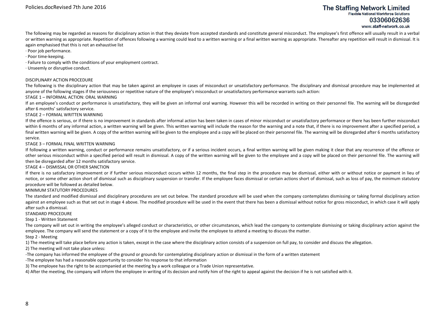The following may be regarded as reasons for disciplinary action in that they deviate from accepted standards and constitute general misconduct. The employee's first offence will usually result in a verbal or written warning as appropriate. Repetition of offences following a warning could lead to a written warning or a final written warning as appropriate. Thereafter any repetition will result in dismissal. It is again emphasised that this is not an exhaustive list

- · Poor job performance.
- · Poor time-keeping.
- · Failure to comply with the conditions of your employment contract.
- · Unseemly or disruptive conduct.

#### DISCIPLINARY ACTION PROCEDURE

The following is the disciplinary action that may be taken against an employee in cases of misconduct or unsatisfactory performance. The disciplinary and dismissal procedure may be implemented at anyone of the following stages if the seriousness or repetitive nature of the employee's misconduct or unsatisfactory performance warrants such action:

#### STAGE 1 – INFORMAL ACTION: ORAL WARNING

If an employee's conduct or performance is unsatisfactory, they will be given an informal oral warning. However this will be recorded in writing on their personnel file. The warning will be disregarded after 6 months' satisfactory service.

#### STAGE 2 – FORMAL WRITTEN WARNING

If the offence is serious, or if there is no improvement in standards after informal action has been taken in cases of minor misconduct or unsatisfactory performance or there has been further misconduct within 6 months of any informal action, a written warning will be given. This written warning will include the reason for the warning and a note that, if there is no improvement after a specified period, a final written warning will be given. A copy of the written warning will be given to the employee and a copy will be placed on their personnel file. The warning will be disregarded after 6 months satisfactory service.

#### STAGE 3 – FORMAL FINAL WRITTEN WARNING

If following a written warning, conduct or performance remains unsatisfactory, or if a serious incident occurs, a final written warning will be given making it clear that any recurrence of the offence or other serious misconduct within a specified period will result in dismissal. A copy of the written warning will be given to the employee and a copy will be placed on their personnel file. The warning willthen be disregarded after 12 months satisfactory service.

#### STAGE 4 – DISMISSAL OR OTHER SANCTION

If there is no satisfactory improvement or if further serious misconduct occurs within 12 months, the final step in the procedure may be dismissal, either with or without notice or payment in lieu of notice, or some other action short of dismissal such as disciplinary suspension or transfer. If the employee faces dismissal or certain actions short of dismissal, such as loss of pay, the minimum statutory procedure will be followed as detailed below.

#### MINIMUM STATUTORY PROCEDURES

The standard and modified dismissal and disciplinary procedures are set out below. The standard procedure will be used when the company contemplates dismissing or taking formal disciplinary action against an employee such as that set out in stage 4 above. The modified procedure will be used in the event that there has been a dismissal without notice for gross misconduct, in which case it will apply after such a dismissal.

#### STANDARD PROCEDURE

#### Step 1 - Written Statement

The company will set out in writing the employee's alleged conduct or characteristics, or other circumstances, which lead the company to contemplate dismissing or taking disciplinary action against the employee. The company will send the statement or a copy of it to the employee and invite the employee to attend a meeting to discuss the matter.

#### Step 2 - Meeting

1) The meeting will take place before any action is taken, except in the case where the disciplinary action consists of a suspension on full pay, to consider and discuss the allegation.

#### 2) The meeting will not take place unless:

- -The company has informed the employee of the ground or grounds for contemplating disciplinary action or dismissal in the form of a written statement
- -The employee has had a reasonable opportunity to consider his response to that information
- 3) The employee has the right to be accompanied at the meeting by a work colleague or a Trade Union representative.

4) After the meeting, the company will inform the employee in writing of its decision and notify him of the right to appeal against the decision if he is not satisfied with it.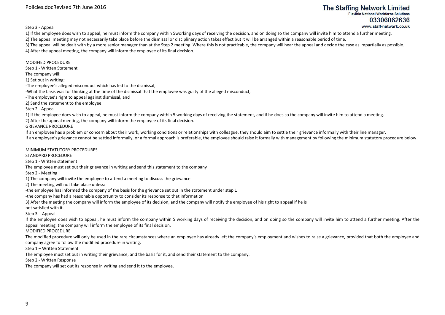Policies.docRevised 7th June 2016

## **The Staffing Network Limited Flexible National Workforce Solutions** 03306062636 www.staff-network.co.uk

Step 3 - Appeal

1) If the employee does wish to appeal, he must inform the company within 5working days of receiving the decision, and on doing so the company will invite him to attend a further meeting.

2) The appeal meeting may not necessarily take place before the dismissal or disciplinary action takes effect but it will be arranged within a reasonable period of time.

3) The appeal will be dealt with by a more senior manager than at the Step 2 meeting. Where this is not practicable, the company will hear the appeal and decide the case as impartially as possible. 4) After the appeal meeting, the company will inform the employee of its final decision.

MODIFIED PROCEDURE

Step 1 - Written Statement

The company will:

1) Set out in writing:

-The employee's alleged misconduct which has led to the dismissal,

-What the basis was for thinking at the time of the dismissal that the employee was guilty of the alleged misconduct,

-The employee's right to appeal against dismissal, and

2) Send the statement to the employee.

MINIMUM STATUTORY PROCEDURES

Step 2 - Appeal

1) If the employee does wish to appeal, he must inform the company within 5 working days of receiving the statement, and if he does so the company will invite him to attend a meeting.

2) After the appeal meeting, the company will inform the employee of its final decision.

GRIEVANCE PROCEDURE

If an employee has a problem or concern about their work, working conditions or relationships with colleague, they should aim to settle their grievance informally with their line manager.

If an employee's grievance cannot be settled informally, or a formal approach is preferable, the employee should raise it formally with management by following the minimum statutory procedure below.

STANDARD PROCEDURE Step 1 - Written statement The employee must set out their grievance in writing and send this statement to the company Step 2 - Meeting 1) The company will invite the employee to attend a meeting to discuss the grievance. 2) The meeting will not take place unless: -the employee has informed the company of the basis for the grievance set out in the statement under step 1 -the company has had a reasonable opportunity to consider its response to that information 3) After the meeting the company will inform the employee of its decision, and the company will notify the employee of his right to appeal if he is not satisfied with it. Step 3 – Appeal If the employee does wish to appeal, he must inform the company within 5 working days of receiving the decision, and on doing so the company will invite him to attend a further meeting. After the appeal meeting, the company will inform the employee of its final decision. MODIFIED PROCEDURE The modified procedure will only be used in the rare circumstances where an employee has already left the company's employment and wishes to raise a grievance, provided that both the employee and company agree to follow the modified procedure in writing. Step 1 – Written Statement The employee must set out in writing their grievance, and the basis for it, and send their statement to the company. Step 2 - Written Response

The company will set out its response in writing and send it to the employee.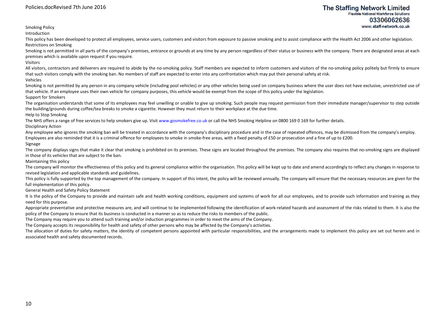Smoking Policy

Introduction

This policy has been developed to protect all employees, service users, customers and visitors from exposure to passive smoking and to assist compliance with the Health Act 2006 and other legislation. Restrictions on Smoking

Smoking is not permitted in all parts of the company's premises, entrance or grounds at any time by any person regardless of their status or business with the company. There are designated areas at each premises which is available upon request if you require.

Visitors

All visitors, contractors and deliverers are required to abide by the no-smoking policy. Staff members are expected to inform customers and visitors of the no-smoking policy politely but firmly to ensure that such visitors comply with the smoking ban. No members of staff are expected to enter into any confrontation which may put their personal safety at risk. Vehicles

Smoking is not permitted by any person in any company vehicle (including pool vehicles) or any other vehicles being used on company business where the user does not have exclusive, unrestricted use of that vehicle. If an employee uses their own vehicle for company purposes, this vehicle would be exempt from the scope of this policy under the legislation.

#### Support for Smokers

The organisation understands that some of its employees may feel unwilling or unable to give up smoking. Such people may request permission from their immediate manager/supervisor to step outside the building/grounds during coffee/tea breaks to smoke a cigarette. However they must return to their workplace at the due time.

Help to Stop Smoking

The NHS offers a range of free services to help smokers give up. Visit www.gosmokefree.co.uk or call the NHS Smoking Helpline on 0800 169 0 169 for further details.

Disciplinary Action

Any employee who ignores the smoking ban will be treated in accordance with the company's disciplinary procedure and in the case of repeated offences, may be dismissed from the company's employ. Employees are also reminded that it is a criminal offence for employees to smoke in smoke-free areas, with a fixed penalty of £50 or prosecution and a fine of up to £200.

### Signage

The company displays signs that make it clear that smoking is prohibited on its premises. These signs are located throughout the premises. The company also requires that no-smoking signs are displayed in those of its vehicles that are subject to the ban.

Maintaining this policy

The company will monitor the effectiveness of this policy and its general compliance within the organisation. This policy will be kept up to date and amend accordingly to reflect any changes in response to revised legislation and applicable standards and guidelines.

This policy is fully supported by the top management of the company. In support of this intent, the policy will be reviewed annually. The company will ensure that the necessary resources are given for the full implementation of this policy.

General Health and Safety Policy Statement

It is the policy of the Company to provide and maintain safe and health working conditions, equipment and systems of work for all our employees, and to provide such information and training as they need for this purpose.

Appropriate preventative and protective measures are, and will continue to be implemented following the identification of work-related hazards and assessment of the risks related to them. It is also the policy of the Company to ensure that its business is conducted in a manner so as to reduce the risks to members of the public.

The Company may require you to attend such training and/or induction programmes in order to meet the aims of the Company.

The Company accepts its responsibility for health and safety of other persons who may be affected by the Company's activities.

The allocation of duties for safety matters, the identity of competent persons appointed with particular responsibilities, and the arrangements made to implement this policy are set out herein and in associated health and safety documented records.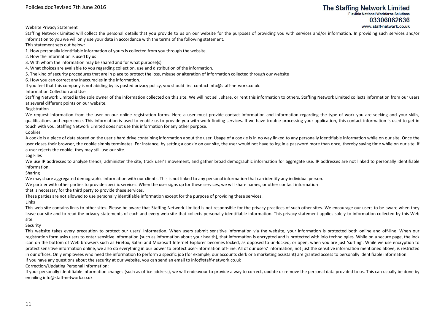Website Privacy Statement

Staffing Network Limited will collect the personal details that you provide to us on our website for the purposes of providing you with services and/or information. In providing such services and/or information to you we will only use your data in accordance with the terms of the following statement.

This statement sets out below:

1. How personally identifiable information of yours is collected from you through the website.

2. How the information is used by us

- 3. With whom the information may be shared and for what purpose(s)
- 4. What choices are available to you regarding collection, use and distribution of the information.
- 5. The kind of security procedures that are in place to protect the loss, misuse or alteration of information collected through our website

6. How you can correct any inaccuracies in the information.

If you feel that this company is not abiding by its posted privacy policy, you should first contact info@staff-network.co.uk.

Information Collection and Use

Staffing Network Limited is the sole owner of the information collected on this site. We will not sell, share, or rent this information to others. Staffing Network Limited collects information from our users at several different points on our website.

Registration

We request information from the user on our online registration forms. Here a user must provide contact information and information regarding the type of work you are seeking and your skills, qualifications and experience. This information is used to enable us to provide you with work-finding services. If we have trouble processing your application, this contact information is used to get in touch with you. Staffing Network Limited does not use this information for any other purpose.

Cookies

A cookie is a piece of data stored on the user's hard drive containing information about the user. Usage of a cookie is in no way linked to any personally identifiable information while on our site. Once the user closes their browser, the cookie simply terminates. For instance, by setting a cookie on our site, the user would not have to log in a password more than once, thereby saving time while on our site. If a user rejects the cookie, they may still use our site.

Log Files

We use IP addresses to analyse trends, administer the site, track user's movement, and gather broad demographic information for aggregate use. IP addresses are not linked to personally identifiable information.

Sharing

We may share aggregated demographic information with our clients. This is not linked to any personal information that can identify any individual person.

We partner with other parties to provide specific services. When the user signs up for these services, we will share names, or other contact information

that is necessary for the third party to provide these services.

These parties are not allowed to use personally identifiable information except for the purpose of providing these services.

Links

This web site contains links to other sites. Please be aware that Staffing Network Limited is not responsible for the privacy practices of such other sites. We encourage our users to be aware when they leave our site and to read the privacy statements of each and every web site that collects personally identifiable information. This privacy statement applies solely to information collected by this Web site.

#### Security

This website takes every precaution to protect our users' information. When users submit sensitive information via the website, your information is protected both online and off-line. When our registration form asks users to enter sensitive information (such as information about your health), that information is encrypted and is protected with iolo technologies. While on a secure page, the lock icon on the bottom of Web browsers such as Firefox, Safari and Microsoft Internet Explorer becomes locked, as opposed to un-locked, or open, when you are just 'surfing'. While we use encryption to protect sensitive information online, we also do everything in our power to protect user-information off-line. All of our users' information, not just the sensitive information mentioned above, is restricted in our offices. Only employees who need the information to perform a specific job (for example, our accounts clerk or a marketing assistant) are granted access to personally identifiable information. If you have any questions about the security at our website, you can send an email to info@staff-network.co.uk

Correction/Updating Personal Information:

If your personally identifiable information changes (such as office address), we will endeavour to provide a way to correct, update or remove the personal data provided to us. This can usually be done by emailing info@staff-network.co.uk